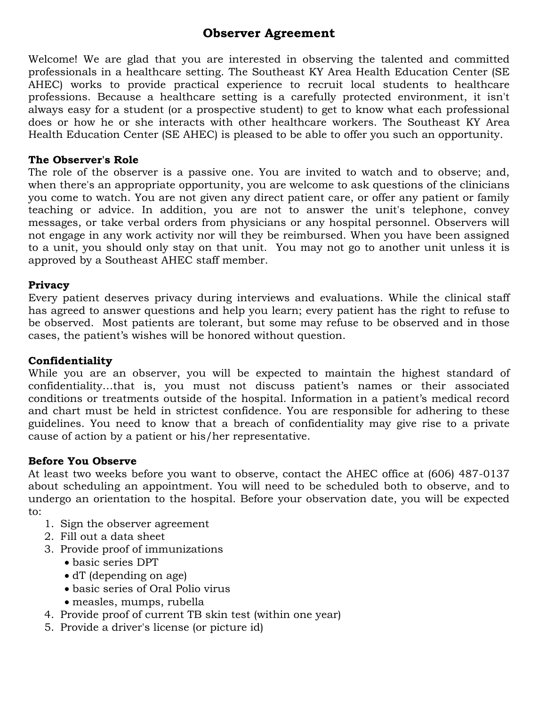## **Observer Agreement**

Welcome! We are glad that you are interested in observing the talented and committed professionals in a healthcare setting. The Southeast KY Area Health Education Center (SE AHEC) works to provide practical experience to recruit local students to healthcare professions. Because a healthcare setting is a carefully protected environment, it isn't always easy for a student (or a prospective student) to get to know what each professional does or how he or she interacts with other healthcare workers. The Southeast KY Area Health Education Center (SE AHEC) is pleased to be able to offer you such an opportunity.

#### **The Observer's Role**

The role of the observer is a passive one. You are invited to watch and to observe; and, when there's an appropriate opportunity, you are welcome to ask questions of the clinicians you come to watch. You are not given any direct patient care, or offer any patient or family teaching or advice. In addition, you are not to answer the unit's telephone, convey messages, or take verbal orders from physicians or any hospital personnel. Observers will not engage in any work activity nor will they be reimbursed. When you have been assigned to a unit, you should only stay on that unit. You may not go to another unit unless it is approved by a Southeast AHEC staff member.

#### **Privacy**

Every patient deserves privacy during interviews and evaluations. While the clinical staff has agreed to answer questions and help you learn; every patient has the right to refuse to be observed. Most patients are tolerant, but some may refuse to be observed and in those cases, the patient's wishes will be honored without question.

#### **Confidentiality**

While you are an observer, you will be expected to maintain the highest standard of confidentiality…that is, you must not discuss patient's names or their associated conditions or treatments outside of the hospital. Information in a patient's medical record and chart must be held in strictest confidence. You are responsible for adhering to these guidelines. You need to know that a breach of confidentiality may give rise to a private cause of action by a patient or his/her representative.

#### **Before You Observe**

At least two weeks before you want to observe, contact the AHEC office at (606) 487-0137 about scheduling an appointment. You will need to be scheduled both to observe, and to undergo an orientation to the hospital. Before your observation date, you will be expected to:

- 1. Sign the observer agreement
- 2. Fill out a data sheet
- 3. Provide proof of immunizations
	- basic series DPT
	- dT (depending on age)
	- basic series of Oral Polio virus
	- measles, mumps, rubella
- 4. Provide proof of current TB skin test (within one year)
- 5. Provide a driver's license (or picture id)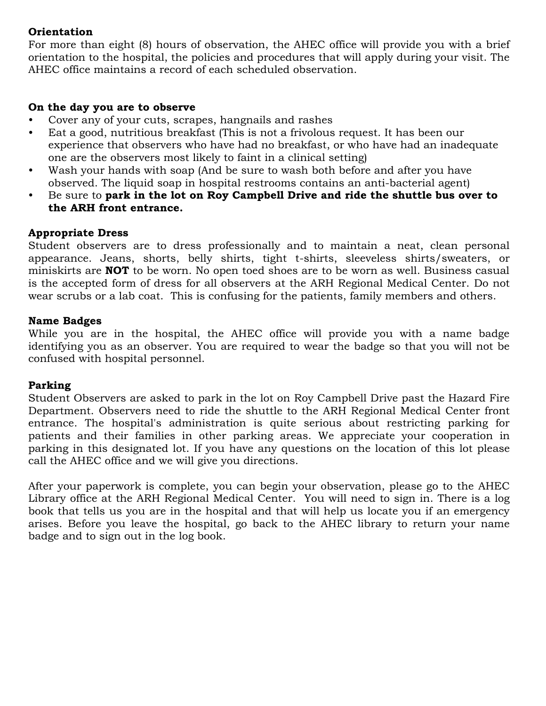### **Orientation**

For more than eight (8) hours of observation, the AHEC office will provide you with a brief orientation to the hospital, the policies and procedures that will apply during your visit. The AHEC office maintains a record of each scheduled observation.

#### **On the day you are to observe**

- Cover any of your cuts, scrapes, hangnails and rashes
- Eat a good, nutritious breakfast (This is not a frivolous request. It has been our experience that observers who have had no breakfast, or who have had an inadequate one are the observers most likely to faint in a clinical setting)
- Wash your hands with soap (And be sure to wash both before and after you have observed. The liquid soap in hospital restrooms contains an anti-bacterial agent)
- Be sure to **park in the lot on Roy Campbell Drive and ride the shuttle bus over to the ARH front entrance.**

#### **Appropriate Dress**

Student observers are to dress professionally and to maintain a neat, clean personal appearance. Jeans, shorts, belly shirts, tight t-shirts, sleeveless shirts/sweaters, or miniskirts are **NOT** to be worn. No open toed shoes are to be worn as well. Business casual is the accepted form of dress for all observers at the ARH Regional Medical Center. Do not wear scrubs or a lab coat. This is confusing for the patients, family members and others.

#### **Name Badges**

While you are in the hospital, the AHEC office will provide you with a name badge identifying you as an observer. You are required to wear the badge so that you will not be confused with hospital personnel.

#### **Parking**

Student Observers are asked to park in the lot on Roy Campbell Drive past the Hazard Fire Department. Observers need to ride the shuttle to the ARH Regional Medical Center front entrance. The hospital's administration is quite serious about restricting parking for patients and their families in other parking areas. We appreciate your cooperation in parking in this designated lot. If you have any questions on the location of this lot please call the AHEC office and we will give you directions.

After your paperwork is complete, you can begin your observation, please go to the AHEC Library office at the ARH Regional Medical Center. You will need to sign in. There is a log book that tells us you are in the hospital and that will help us locate you if an emergency arises. Before you leave the hospital, go back to the AHEC library to return your name badge and to sign out in the log book.